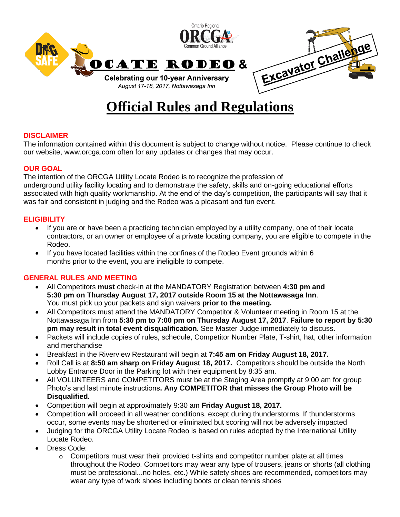

# **Official Rules and Regulations**

# **DISCLAIMER**

The information contained within this document is subject to change without notice. Please continue to check our website, www.orcga.com often for any updates or changes that may occur.

#### **OUR GOAL**

The intention of the ORCGA Utility Locate Rodeo is to recognize the profession of underground utility facility locating and to demonstrate the safety, skills and on-going educational efforts associated with high quality workmanship. At the end of the day's competition, the participants will say that it was fair and consistent in judging and the Rodeo was a pleasant and fun event.

# **ELIGIBILITY**

- If you are or have been a practicing technician employed by a utility company, one of their locate contractors, or an owner or employee of a private locating company, you are eligible to compete in the Rodeo.
- If you have located facilities within the confines of the Rodeo Event grounds within 6 months prior to the event, you are ineligible to compete.

#### **GENERAL RULES AND MEETING**

- All Competitors **must** check-in at the MANDATORY Registration between **4:30 pm and 5:30 pm on Thursday August 17, 2017 outside Room 15 at the Nottawasaga Inn**. You must pick up your packets and sign waivers **prior to the meeting.**
- All Competitors must attend the MANDATORY Competitor & Volunteer meeting in Room 15 at the Nottawasaga Inn from **5:30 pm to 7:00 pm on Thursday August 17, 2017**. **Failure to report by 5:30 pm may result in total event disqualification.** See Master Judge immediately to discuss.
- Packets will include copies of rules, schedule, Competitor Number Plate, T-shirt, hat, other information and merchandise
- Breakfast in the Riverview Restaurant will begin at **7:45 am on Friday August 18, 2017.**
- Roll Call is at **8:50 am sharp on Friday August 18, 2017.** Competitors should be outside the North Lobby Entrance Door in the Parking lot with their equipment by 8:35 am.
- All VOLUNTEERS and COMPETITORS must be at the Staging Area promptly at 9:00 am for group Photo's and last minute instructions**. Any COMPETITOR that misses the Group Photo will be Disqualified.**
- Competition will begin at approximately 9:30 am **Friday August 18, 2017.**
- Competition will proceed in all weather conditions, except during thunderstorms. If thunderstorms occur, some events may be shortened or eliminated but scoring will not be adversely impacted
- Judging for the ORCGA Utility Locate Rodeo is based on rules adopted by the International Utility Locate Rodeo.
- Dress Code:
	- $\circ$  Competitors must wear their provided t-shirts and competitor number plate at all times throughout the Rodeo. Competitors may wear any type of trousers, jeans or shorts (all clothing must be professional...no holes, etc.) While safety shoes are recommended, competitors may wear any type of work shoes including boots or clean tennis shoes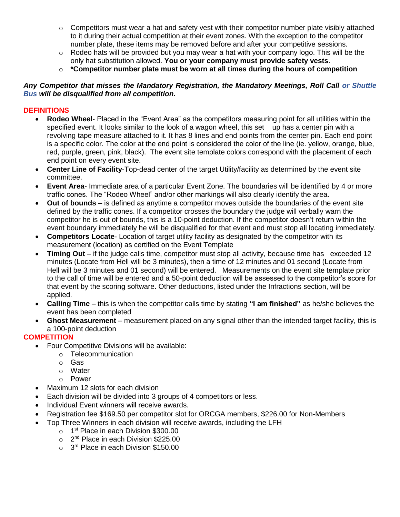- $\circ$  Competitors must wear a hat and safety vest with their competitor number plate visibly attached to it during their actual competition at their event zones. With the exception to the competitor number plate, these items may be removed before and after your competitive sessions.
- $\circ$  Rodeo hats will be provided but you may wear a hat with your company logo. This will be the only hat substitution allowed. **You or your company must provide safety vests**.
- o **\*Competitor number plate must be worn at all times during the hours of competition**

#### *Any Competitor that misses the Mandatory Registration, the Mandatory Meetings, Roll Call or Shuttle Bus will be disqualified from all competition.*

#### **DEFINITIONS**

- **Rodeo Wheel** Placed in the "Event Area" as the competitors measuring point for all utilities within the specified event. It looks similar to the look of a wagon wheel, this set up has a center pin with a revolving tape measure attached to it. It has 8 lines and end points from the center pin. Each end point is a specific color. The color at the end point is considered the color of the line (ie. yellow, orange, blue, red, purple, green, pink, black). The event site template colors correspond with the placement of each end point on every event site.
- **Center Line of Facility**-Top-dead center of the target Utility/facility as determined by the event site committee.
- **Event Area** Immediate area of a particular Event Zone. The boundaries will be identified by 4 or more traffic cones. The "Rodeo Wheel" and/or other markings will also clearly identify the area.
- **Out of bounds** is defined as anytime a competitor moves outside the boundaries of the event site defined by the traffic cones. If a competitor crosses the boundary the judge will verbally warn the competitor he is out of bounds, this is a 10-point deduction. If the competitor doesn't return within the event boundary immediately he will be disqualified for that event and must stop all locating immediately.
- **Competitors Locate** Location of target utility facility as designated by the competitor with its measurement (location) as certified on the Event Template
- **Timing Out** if the judge calls time, competitor must stop all activity, because time has exceeded 12 minutes (Locate from Hell will be 3 minutes), then a time of 12 minutes and 01 second (Locate from Hell will be 3 minutes and 01 second) will be entered. Measurements on the event site template prior to the call of time will be entered and a 50-point deduction will be assessed to the competitor's score for that event by the scoring software. Other deductions, listed under the Infractions section, will be applied.
- **Calling Time** this is when the competitor calls time by stating **"I am finished"** as he/she believes the event has been completed
- **Ghost Measurement** measurement placed on any signal other than the intended target facility, this is a 100-point deduction

# **COMPETITION**

- Four Competitive Divisions will be available:
	- o Telecommunication
		- o Gas
		- o Water
		- o Power
- Maximum 12 slots for each division
- Each division will be divided into 3 groups of 4 competitors or less.
- Individual Event winners will receive awards.
- Registration fee \$169.50 per competitor slot for ORCGA members, \$226.00 for Non-Members
- Top Three Winners in each division will receive awards, including the LFH
	- o 1<sup>st</sup> Place in each Division \$300.00
	- o 2<sup>nd</sup> Place in each Division \$225.00
	- o 3<sup>rd</sup> Place in each Division \$150.00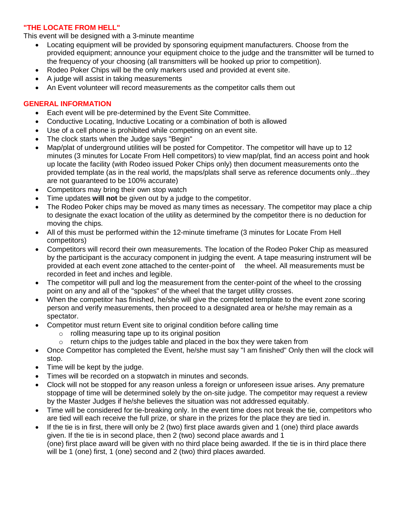## **"THE LOCATE FROM HELL"**

This event will be designed with a 3-minute meantime

- Locating equipment will be provided by sponsoring equipment manufacturers. Choose from the provided equipment; announce your equipment choice to the judge and the transmitter will be turned to the frequency of your choosing (all transmitters will be hooked up prior to competition).
- Rodeo Poker Chips will be the only markers used and provided at event site.
- A judge will assist in taking measurements
- An Event volunteer will record measurements as the competitor calls them out

# **GENERAL INFORMATION**

- Each event will be pre-determined by the Event Site Committee.
- Conductive Locating, Inductive Locating or a combination of both is allowed
- Use of a cell phone is prohibited while competing on an event site.
- The clock starts when the Judge says "Begin"
- Map/plat of underground utilities will be posted for Competitor. The competitor will have up to 12 minutes (3 minutes for Locate From Hell competitors) to view map/plat, find an access point and hook up locate the facility (with Rodeo issued Poker Chips only) then document measurements onto the provided template (as in the real world, the maps/plats shall serve as reference documents only...they are not guaranteed to be 100% accurate)
- Competitors may bring their own stop watch
- Time updates **will not** be given out by a judge to the competitor.
- The Rodeo Poker chips may be moved as many times as necessary. The competitor may place a chip to designate the exact location of the utility as determined by the competitor there is no deduction for moving the chips.
- All of this must be performed within the 12-minute timeframe (3 minutes for Locate From Hell competitors)
- Competitors will record their own measurements. The location of the Rodeo Poker Chip as measured by the participant is the accuracy component in judging the event. A tape measuring instrument will be provided at each event zone attached to the center-point of the wheel. All measurements must be recorded in feet and inches and legible.
- The competitor will pull and log the measurement from the center-point of the wheel to the crossing point on any and all of the "spokes" of the wheel that the target utility crosses.
- When the competitor has finished, he/she will give the completed template to the event zone scoring person and verify measurements, then proceed to a designated area or he/she may remain as a spectator.
- Competitor must return Event site to original condition before calling time
	- o rolling measuring tape up to its original position
	- $\circ$  return chips to the judges table and placed in the box they were taken from
- Once Competitor has completed the Event, he/she must say "I am finished" Only then will the clock will stop.
- Time will be kept by the judge.
- Times will be recorded on a stopwatch in minutes and seconds.
- Clock will not be stopped for any reason unless a foreign or unforeseen issue arises. Any premature stoppage of time will be determined solely by the on-site judge. The competitor may request a review by the Master Judges if he/she believes the situation was not addressed equitably.
- Time will be considered for tie-breaking only. In the event time does not break the tie, competitors who are tied will each receive the full prize, or share in the prizes for the place they are tied in.
- If the tie is in first, there will only be 2 (two) first place awards given and 1 (one) third place awards given. If the tie is in second place, then 2 (two) second place awards and 1 (one) first place award will be given with no third place being awarded. If the tie is in third place there will be 1 (one) first, 1 (one) second and 2 (two) third places awarded.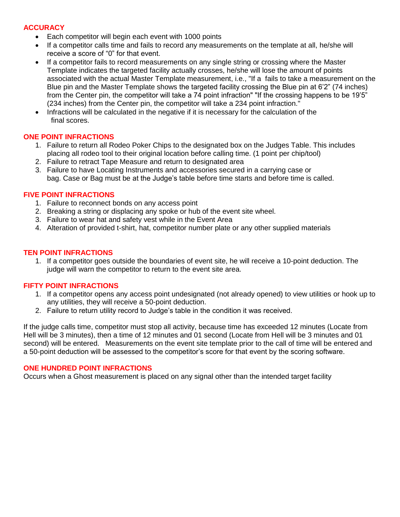# **ACCURACY**

- Each competitor will begin each event with 1000 points
- If a competitor calls time and fails to record any measurements on the template at all, he/she will receive a score of "0" for that event.
- If a competitor fails to record measurements on any single string or crossing where the Master Template indicates the targeted facility actually crosses, he/she will lose the amount of points associated with the actual Master Template measurement, i.e., "If a fails to take a measurement on the Blue pin and the Master Template shows the targeted facility crossing the Blue pin at 6'2" (74 inches) from the Center pin, the competitor will take a 74 point infraction" "If the crossing happens to be 19'5" (234 inches) from the Center pin, the competitor will take a 234 point infraction."
- Infractions will be calculated in the negative if it is necessary for the calculation of the final scores.

#### **ONE POINT INFRACTIONS**

- 1. Failure to return all Rodeo Poker Chips to the designated box on the Judges Table. This includes placing all rodeo tool to their original location before calling time. (1 point per chip/tool)
- 2. Failure to retract Tape Measure and return to designated area
- 3. Failure to have Locating Instruments and accessories secured in a carrying case or bag. Case or Bag must be at the Judge's table before time starts and before time is called.

#### **FIVE POINT INFRACTIONS**

- 1. Failure to reconnect bonds on any access point
- 2. Breaking a string or displacing any spoke or hub of the event site wheel.
- 3. Failure to wear hat and safety vest while in the Event Area
- 4. Alteration of provided t-shirt, hat, competitor number plate or any other supplied materials

#### **TEN POINT INFRACTIONS**

1. If a competitor goes outside the boundaries of event site, he will receive a 10-point deduction. The judge will warn the competitor to return to the event site area.

#### **FIFTY POINT INFRACTIONS**

- 1. If a competitor opens any access point undesignated (not already opened) to view utilities or hook up to any utilities, they will receive a 50-point deduction.
- 2. Failure to return utility record to Judge's table in the condition it was received.

If the judge calls time, competitor must stop all activity, because time has exceeded 12 minutes (Locate from Hell will be 3 minutes), then a time of 12 minutes and 01 second (Locate from Hell will be 3 minutes and 01 second) will be entered. Measurements on the event site template prior to the call of time will be entered and a 50-point deduction will be assessed to the competitor's score for that event by the scoring software.

#### **ONE HUNDRED POINT INFRACTIONS**

Occurs when a Ghost measurement is placed on any signal other than the intended target facility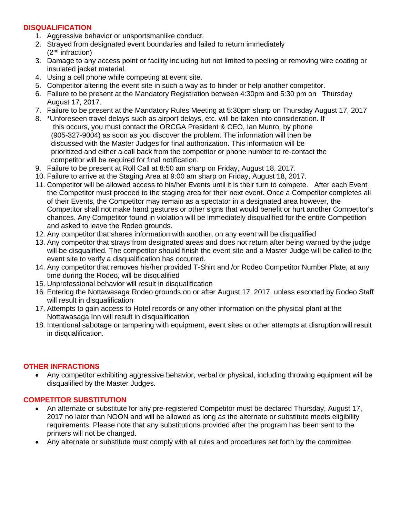# **DISQUALIFICATION**

- 1. Aggressive behavior or unsportsmanlike conduct.
- 2. Strayed from designated event boundaries and failed to return immediately (2<sup>nd</sup> infraction)
- 3. Damage to any access point or facility including but not limited to peeling or removing wire coating or insulated jacket material.
- 4. Using a cell phone while competing at event site.
- 5. Competitor altering the event site in such a way as to hinder or help another competitor.
- 6. Failure to be present at the Mandatory Registration between 4:30pm and 5:30 pm on Thursday August 17, 2017.
- 7. Failure to be present at the Mandatory Rules Meeting at 5:30pm sharp on Thursday August 17, 2017
- 8. \*Unforeseen travel delays such as airport delays, etc. will be taken into consideration. If this occurs, you must contact the ORCGA President & CEO, Ian Munro, by phone (905-327-9004) as soon as you discover the problem. The information will then be discussed with the Master Judges for final authorization. This information will be prioritized and either a call back from the competitor or phone number to re-contact the competitor will be required for final notification.
- 9. Failure to be present at Roll Call at 8:50 am sharp on Friday, August 18, 2017.
- 10. Failure to arrive at the Staging Area at 9:00 am sharp on Friday, August 18, 2017.
- 11. Competitor will be allowed access to his/her Events until it is their turn to compete. After each Event the Competitor must proceed to the staging area for their next event. Once a Competitor completes all of their Events, the Competitor may remain as a spectator in a designated area however, the Competitor shall not make hand gestures or other signs that would benefit or hurt another Competitor's chances. Any Competitor found in violation will be immediately disqualified for the entire Competition and asked to leave the Rodeo grounds.
- 12. Any competitor that shares information with another, on any event will be disqualified
- 13. Any competitor that strays from designated areas and does not return after being warned by the judge will be disqualified. The competitor should finish the event site and a Master Judge will be called to the event site to verify a disqualification has occurred.
- 14. Any competitor that removes his/her provided T-Shirt and /or Rodeo Competitor Number Plate, at any time during the Rodeo, will be disqualified
- 15. Unprofessional behavior will result in disqualification
- 16. Entering the Nottawasaga Rodeo grounds on or after August 17, 2017, unless escorted by Rodeo Staff will result in disqualification
- 17. Attempts to gain access to Hotel records or any other information on the physical plant at the Nottawasaga Inn will result in disqualification
- 18. Intentional sabotage or tampering with equipment, event sites or other attempts at disruption will result in disqualification.

#### **OTHER INFRACTIONS**

• Any competitor exhibiting aggressive behavior, verbal or physical, including throwing equipment will be disqualified by the Master Judges.

# **COMPETITOR SUBSTITUTION**

- An alternate or substitute for any pre-registered Competitor must be declared Thursday, August 17, 2017 no later than NOON and will be allowed as long as the alternate or substitute meets eligibility requirements. Please note that any substitutions provided after the program has been sent to the printers will not be changed.
- Any alternate or substitute must comply with all rules and procedures set forth by the committee